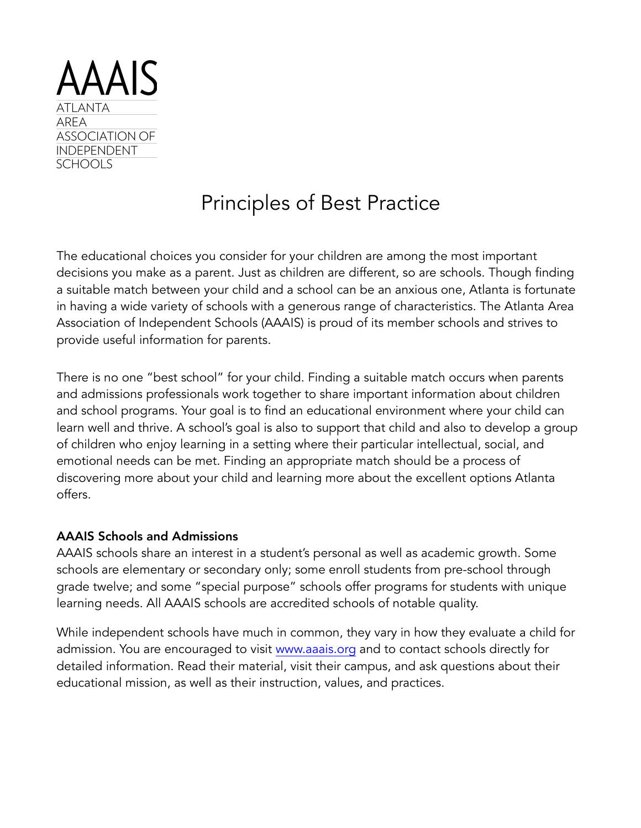

# Principles of Best Practice

The educational choices you consider for your children are among the most important decisions you make as a parent. Just as children are different, so are schools. Though finding a suitable match between your child and a school can be an anxious one, Atlanta is fortunate in having a wide variety of schools with a generous range of characteristics. The Atlanta Area Association of Independent Schools (AAAIS) is proud of its member schools and strives to provide useful information for parents.

There is no one "best school" for your child. Finding a suitable match occurs when parents and admissions professionals work together to share important information about children and school programs. Your goal is to find an educational environment where your child can learn well and thrive. A school's goal is also to support that child and also to develop a group of children who enjoy learning in a setting where their particular intellectual, social, and emotional needs can be met. Finding an appropriate match should be a process of discovering more about your child and learning more about the excellent options Atlanta offers.

## AAAIS Schools and Admissions

AAAIS schools share an interest in a student's personal as well as academic growth. Some schools are elementary or secondary only; some enroll students from pre-school through grade twelve; and some "special purpose" schools offer programs for students with unique learning needs. All AAAIS schools are accredited schools of notable quality.

While independent schools have much in common, they vary in how they evaluate a child for admission. You are encouraged to visit [www.aaais.org](http://www.aaais.org) and to contact schools directly for detailed information. Read their material, visit their campus, and ask questions about their educational mission, as well as their instruction, values, and practices.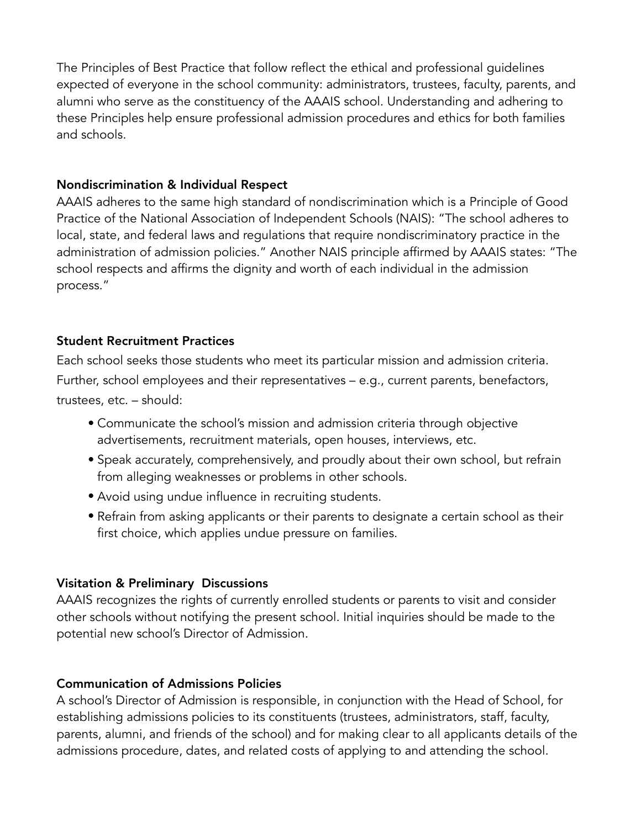The Principles of Best Practice that follow reflect the ethical and professional guidelines expected of everyone in the school community: administrators, trustees, faculty, parents, and alumni who serve as the constituency of the AAAIS school. Understanding and adhering to these Principles help ensure professional admission procedures and ethics for both families and schools.

## Nondiscrimination & Individual Respect

AAAIS adheres to the same high standard of nondiscrimination which is a Principle of Good Practice of the National Association of Independent Schools (NAIS): "The school adheres to local, state, and federal laws and regulations that require nondiscriminatory practice in the administration of admission policies." Another NAIS principle affirmed by AAAIS states: "The school respects and affirms the dignity and worth of each individual in the admission process."

## Student Recruitment Practices

Each school seeks those students who meet its particular mission and admission criteria. Further, school employees and their representatives – e.g., current parents, benefactors, trustees, etc. – should:

- Communicate the school's mission and admission criteria through objective advertisements, recruitment materials, open houses, interviews, etc.
- Speak accurately, comprehensively, and proudly about their own school, but refrain from alleging weaknesses or problems in other schools.
- Avoid using undue influence in recruiting students.
- Refrain from asking applicants or their parents to designate a certain school as their first choice, which applies undue pressure on families.

## Visitation & Preliminary Discussions

AAAIS recognizes the rights of currently enrolled students or parents to visit and consider other schools without notifying the present school. Initial inquiries should be made to the potential new school's Director of Admission.

## Communication of Admissions Policies

A school's Director of Admission is responsible, in conjunction with the Head of School, for establishing admissions policies to its constituents (trustees, administrators, staff, faculty, parents, alumni, and friends of the school) and for making clear to all applicants details of the admissions procedure, dates, and related costs of applying to and attending the school.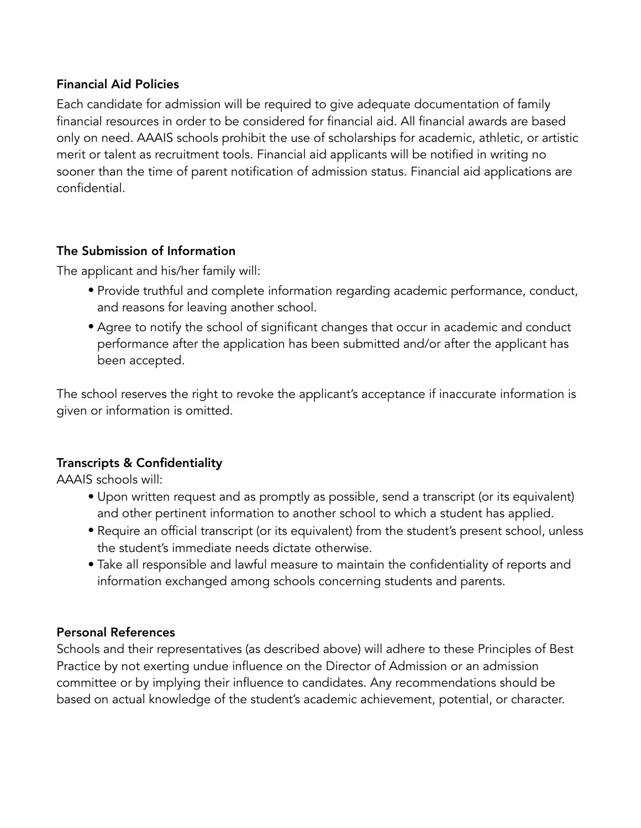# Financial Aid Policies

Each candidate for admission will be required to give adequate documentation of family financial resources in order to be considered for financial aid. All financial awards are based only on need. AAAIS schools prohibit the use of scholarships for academic, athletic, or artistic merit or talent as recruitment tools. Financial aid applicants will be notified in writing no sooner than the time of parent notification of admission status. Financial aid applications are confidential.

# The Submission of Information

The applicant and his/her family will:

- Provide truthful and complete information regarding academic performance, conduct, and reasons for leaving another school.
- Agree to notify the school of significant changes that occur in academic and conduct performance after the application has been submitted and/or after the applicant has been accepted.

The school reserves the right to revoke the applicant's acceptance if inaccurate information is given or information is omitted.

# Transcripts & Confidentiality

AAAIS schools will:

- Upon written request and as promptly as possible, send a transcript (or its equivalent) and other pertinent information to another school to which a student has applied.
- Require an official transcript (or its equivalent) from the student's present school, unless the student's immediate needs dictate otherwise.
- Take all responsible and lawful measure to maintain the confidentiality of reports and information exchanged among schools concerning students and parents.

# Personal References

Schools and their representatives (as described above) will adhere to these Principles of Best Practice by not exerting undue influence on the Director of Admission or an admission committee or by implying their influence to candidates. Any recommendations should be based on actual knowledge of the student's academic achievement, potential, or character.